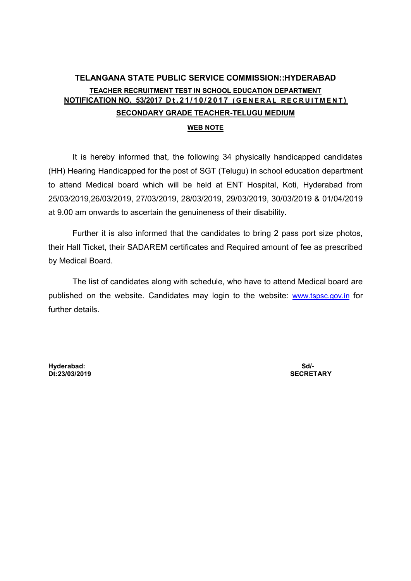## TELANGANA STATE PUBLIC SERVICE COMMISSION::HYDERABAD TEACHER RECRUITMENT TEST IN SCHOOL EDUCATION DEPARTMENT NOTIFICATION NO. 53/2017 Dt.21/10/2017 (GENERAL RECRUITMENT) SECONDARY GRADE TEACHER-TELUGU MEDIUM

## WEB NOTE

It is hereby informed that, the following 34 physically handicapped candidates (HH) Hearing Handicapped for the post of SGT (Telugu) in school education department to attend Medical board which will be held at ENT Hospital, Koti, Hyderabad from 25/03/2019,26/03/2019, 27/03/2019, 28/03/2019, 29/03/2019, 30/03/2019 & 01/04/2019 at 9.00 am onwards to ascertain the genuineness of their disability.

Further it is also informed that the candidates to bring 2 pass port size photos, their Hall Ticket, their SADAREM certificates and Required amount of fee as prescribed by Medical Board.

The list of candidates along with schedule, who have to attend Medical board are published on the website. Candidates may login to the website: www.tspsc.gov.in for further details.

Hyderabad: Sd/-  $Dt:23/03/2019$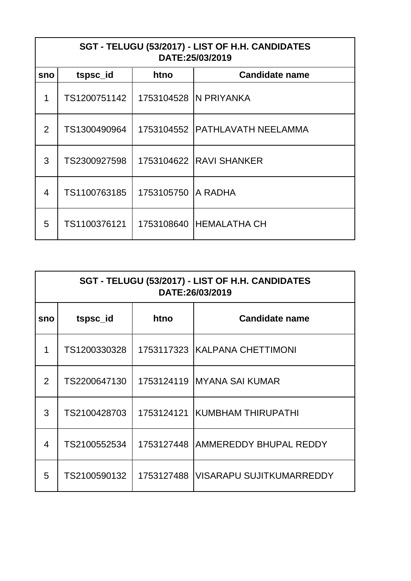| SGT - TELUGU (53/2017) - LIST OF H.H. CANDIDATES<br>DATE:25/03/2019 |              |            |                                  |
|---------------------------------------------------------------------|--------------|------------|----------------------------------|
| sno                                                                 | tspsc_id     | htno       | <b>Candidate name</b>            |
| 1                                                                   | TS1200751142 |            | 1753104528   N PRIYANKA          |
| 2                                                                   | TS1300490964 |            | 1753104552   PATHLAVATH NEELAMMA |
| 3                                                                   | TS2300927598 |            | 1753104622 RAVI SHANKER          |
| 4                                                                   | TS1100763185 | 1753105750 | A RADHA                          |
| 5                                                                   | TS1100376121 |            | 1753108640   HEMALATHA CH        |

| SGT - TELUGU (53/2017) - LIST OF H.H. CANDIDATES<br>DATE:26/03/2019 |              |            |                                       |
|---------------------------------------------------------------------|--------------|------------|---------------------------------------|
| sno                                                                 | tspsc_id     | htno       | <b>Candidate name</b>                 |
| 1                                                                   | TS1200330328 |            | 1753117323 KALPANA CHETTIMONI         |
| $\overline{2}$                                                      | TS2200647130 |            | 1753124119 IMYANA SAI KUMAR           |
| 3                                                                   | TS2100428703 | 1753124121 | <b>IKUMBHAM THIRUPATHI</b>            |
| 4                                                                   | TS2100552534 |            | 1753127448 AMMEREDDY BHUPAL REDDY     |
| 5                                                                   | TS2100590132 |            | 1753127488   VISARAPU SUJITKUMARREDDY |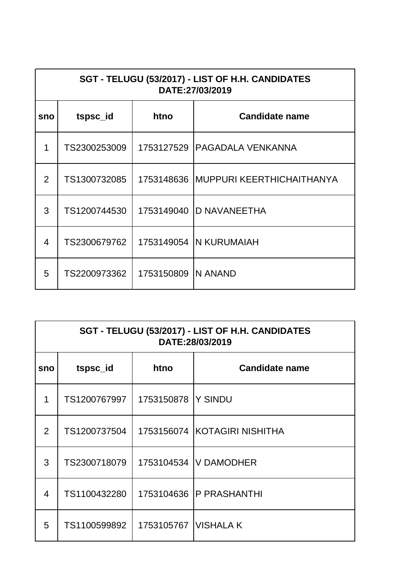| SGT - TELUGU (53/2017) - LIST OF H.H. CANDIDATES<br>DATE:27/03/2019 |              |                     |                                        |
|---------------------------------------------------------------------|--------------|---------------------|----------------------------------------|
| sno                                                                 | tspsc_id     | htno                | <b>Candidate name</b>                  |
| 1                                                                   | TS2300253009 |                     | 1753127529 IPAGADALA VENKANNA          |
| $\overline{2}$                                                      | TS1300732085 |                     | 1753148636   MUPPURI KEERTHICHAITHANYA |
| 3                                                                   | TS1200744530 |                     | 1753149040 ID NAVANEETHA               |
| 4                                                                   | TS2300679762 |                     | 1753149054   N KURUMAIAH               |
| 5                                                                   | TS2200973362 | 1753150809 IN ANAND |                                        |

| SGT - TELUGU (53/2017) - LIST OF H.H. CANDIDATES<br>DATE:28/03/2019 |              |                        |                              |
|---------------------------------------------------------------------|--------------|------------------------|------------------------------|
| sno                                                                 | tspsc_id     | htno                   | <b>Candidate name</b>        |
| 1                                                                   | TS1200767997 | 1753150878 Y SINDU     |                              |
| $\overline{2}$                                                      | TS1200737504 |                        | 1753156074 KOTAGIRI NISHITHA |
| 3                                                                   | TS2300718079 |                        | 1753104534   V DAMODHER      |
| 4                                                                   | TS1100432280 |                        | 1753104636   P PRASHANTHI    |
| 5                                                                   | TS1100599892 | 1753105767   VISHALA K |                              |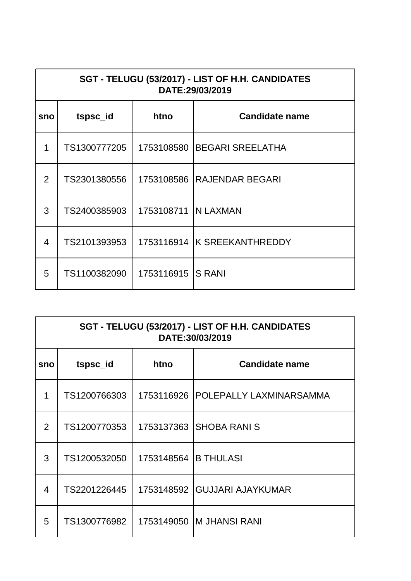| SGT - TELUGU (53/2017) - LIST OF H.H. CANDIDATES<br>DATE:29/03/2019 |              |                       |                             |
|---------------------------------------------------------------------|--------------|-----------------------|-----------------------------|
| sno                                                                 | tspsc_id     | htno                  | <b>Candidate name</b>       |
| 1                                                                   | TS1300777205 |                       | 1753108580 BEGARI SREELATHA |
| $\overline{2}$                                                      | TS2301380556 |                       | 1753108586 RAJENDAR BEGARI  |
| 3                                                                   | TS2400385903 | 1753108711   N LAXMAN |                             |
| 4                                                                   | TS2101393953 |                       | 1753116914 K SREEKANTHREDDY |
| 5                                                                   | TS1100382090 | 1753116915 IS RANI    |                             |

| SGT - TELUGU (53/2017) - LIST OF H.H. CANDIDATES<br>DATE:30/03/2019 |              |                      |                              |
|---------------------------------------------------------------------|--------------|----------------------|------------------------------|
| sno                                                                 | tspsc_id     | htno                 | <b>Candidate name</b>        |
| 1                                                                   | TS1200766303 | 1753116926           | POLEPALLY LAXMINARSAMMA      |
| 2                                                                   | TS1200770353 |                      | 1753137363 SHOBA RANI S      |
| 3                                                                   | TS1200532050 | 1753148564 B THULASI |                              |
| 4                                                                   | TS2201226445 |                      | 1753148592 GUJJARI AJAYKUMAR |
| 5                                                                   | TS1300776982 |                      | 1753149050   M JHANSI RANI   |